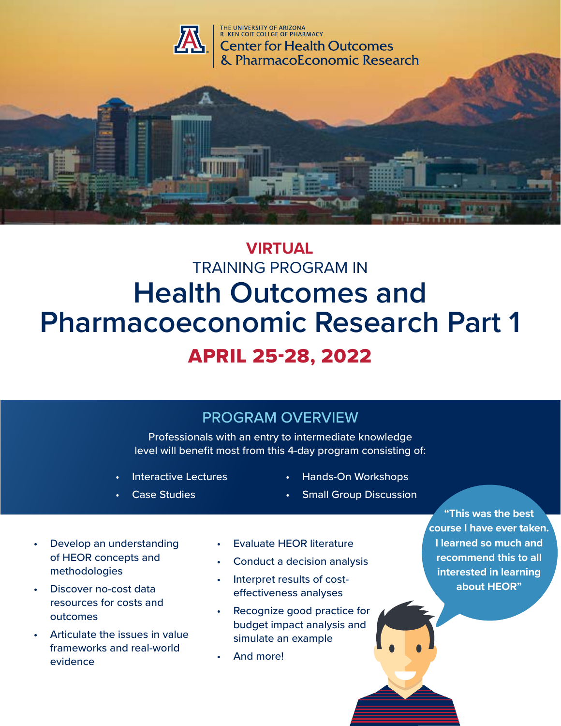

# **VIRTUAL** TRAINING PROGRAM IN **Health Outcomes and Pharmacoeconomic Research Part 1** APRIL 25-28, 2022

### PROGRAM OVERVIEW

Professionals with an entry to intermediate knowledge level will benefit most from this 4-day program consisting of:

- Interactive Lectures
- **Case Studies**
- Hands-On Workshops
- **Small Group Discussion**

**"This was the best course I have ever taken. I learned so much and recommend this to all interested in learning about HEOR"**

- Develop an understanding of HEOR concepts and methodologies
- Discover no-cost data resources for costs and outcomes
- Articulate the issues in value frameworks and real-world evidence
- Evaluate HEOR literature
- Conduct a decision analysis
- Interpret results of costeffectiveness analyses
- Recognize good practice for budget impact analysis and simulate an example
- And more!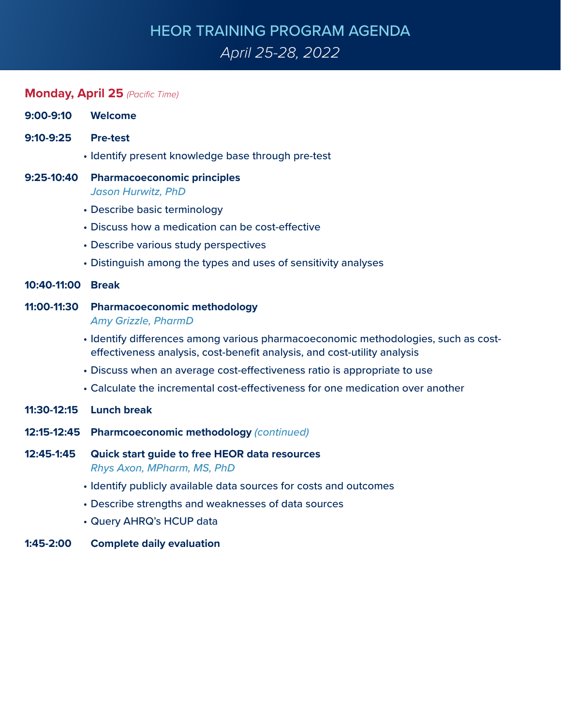# HEOR TRAINING PROGRAM AGENDA *April 25-28, 2022*

### **Monday, April 25** *(Pacific Time)*

| 9:00-9:10         | <b>Welcome</b>                                                                                                                                                 |
|-------------------|----------------------------------------------------------------------------------------------------------------------------------------------------------------|
| 9:10-9:25         | <b>Pre-test</b>                                                                                                                                                |
|                   | • Identify present knowledge base through pre-test                                                                                                             |
| 9:25-10:40        | <b>Pharmacoeconomic principles</b><br><b>Jason Hurwitz, PhD</b>                                                                                                |
|                   | • Describe basic terminology                                                                                                                                   |
|                   | • Discuss how a medication can be cost-effective                                                                                                               |
|                   | • Describe various study perspectives                                                                                                                          |
|                   | • Distinguish among the types and uses of sensitivity analyses                                                                                                 |
| 10:40-11:00 Break |                                                                                                                                                                |
| 11:00-11:30       | <b>Pharmacoeconomic methodology</b><br><b>Amy Grizzle, PharmD</b>                                                                                              |
|                   | • Identify differences among various pharmacoeconomic methodologies, such as cost-<br>effectiveness analysis, cost-benefit analysis, and cost-utility analysis |
|                   | • Discuss when an average cost-effectiveness ratio is appropriate to use                                                                                       |
|                   | • Calculate the incremental cost-effectiveness for one medication over another                                                                                 |
| 11:30-12:15       | <b>Lunch break</b>                                                                                                                                             |
| 12:15-12:45       | Pharmcoeconomic methodology (continued)                                                                                                                        |
| 12:45-1:45        | <b>Quick start guide to free HEOR data resources</b><br>Rhys Axon, MPharm, MS, PhD                                                                             |
|                   | • Identify publicly available data sources for costs and outcomes                                                                                              |
|                   | • Describe strengths and weaknesses of data sources                                                                                                            |
|                   | • Query AHRQ's HCUP data                                                                                                                                       |
|                   |                                                                                                                                                                |

**1:45-2:00 Complete daily evaluation**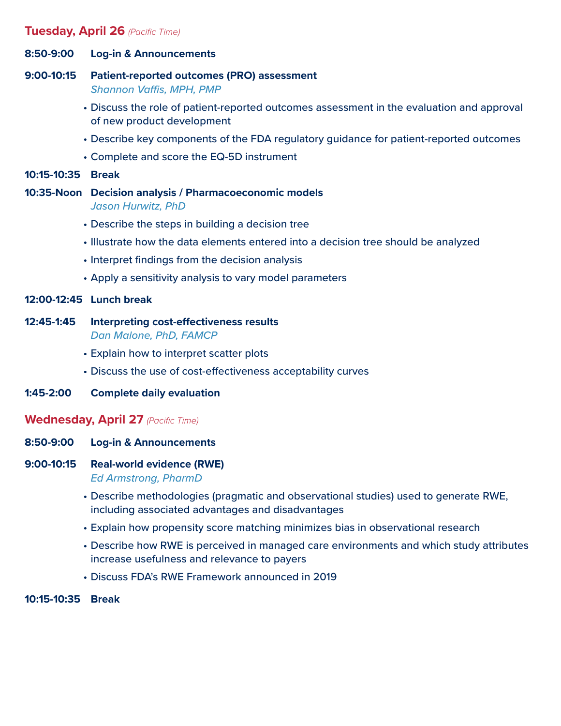#### **Tuesday, April 26** *(Pacific Time)*

- **8:50-9:00 Log-in & Announcements**
- **9:00-10:15 Patient-reported outcomes (PRO) assessment** *Shannon Vaffis, MPH, PMP*
	- Discuss the role of patient-reported outcomes assessment in the evaluation and approval of new product development
	- Describe key components of the FDA regulatory guidance for patient-reported outcomes
	- Complete and score the EQ-5D instrument
- **10:15-10:35 Break**
- **10:35-Noon Decision analysis / Pharmacoeconomic models** *Jason Hurwitz, PhD*
	- Describe the steps in building a decision tree
	- Illustrate how the data elements entered into a decision tree should be analyzed
	- Interpret findings from the decision analysis
	- Apply a sensitivity analysis to vary model parameters

#### **12:00-12:45 Lunch break**

- **12:45-1:45 Interpreting cost-effectiveness results** *Dan Malone, PhD, FAMCP*
	- Explain how to interpret scatter plots
	- Discuss the use of cost-effectiveness acceptability curves
- **1:45-2:00 Complete daily evaluation**

#### **Wednesday, April 27** *(Pacific Time)*

- **8:50-9:00 Log-in & Announcements**
- **9:00-10:15 Real-world evidence (RWE)** *Ed Armstrong, PharmD*
	- Describe methodologies (pragmatic and observational studies) used to generate RWE, including associated advantages and disadvantages
	- Explain how propensity score matching minimizes bias in observational research
	- Describe how RWE is perceived in managed care environments and which study attributes increase usefulness and relevance to payers
	- Discuss FDA's RWE Framework announced in 2019

**10:15-10:35 Break**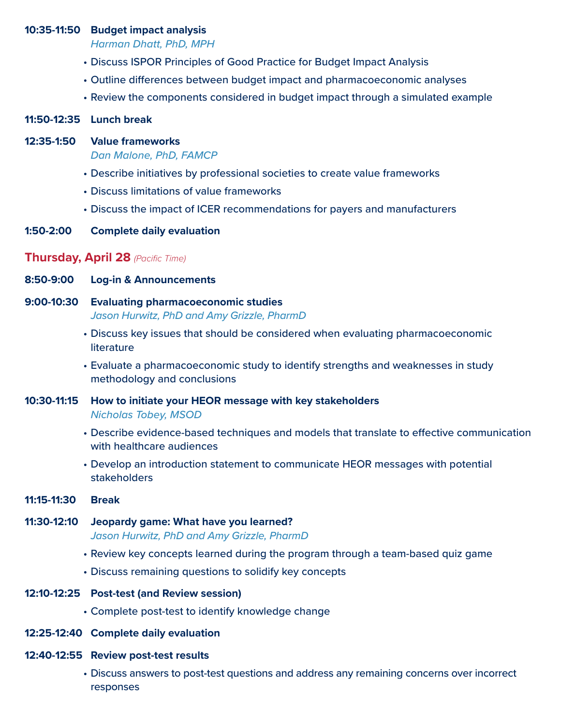#### **10:35-11:50 Budget impact analysis**

*Harman Dhatt, PhD, MPH*

- Discuss ISPOR Principles of Good Practice for Budget Impact Analysis
- Outline differences between budget impact and pharmacoeconomic analyses
- Review the components considered in budget impact through a simulated example

#### **11:50-12:35 Lunch break**

#### **12:35-1:50 Value frameworks**

*Dan Malone, PhD, FAMCP*

- Describe initiatives by professional societies to create value frameworks
- Discuss limitations of value frameworks
- Discuss the impact of ICER recommendations for payers and manufacturers
- **1:50-2:00 Complete daily evaluation**

#### **Thursday, April 28** *(Pacific Time)*

- **8:50-9:00 Log-in & Announcements**
- **9:00-10:30 Evaluating pharmacoeconomic studies** *Jason Hurwitz, PhD and Amy Grizzle, PharmD*
	- Discuss key issues that should be considered when evaluating pharmacoeconomic literature
	- Evaluate a pharmacoeconomic study to identify strengths and weaknesses in study methodology and conclusions
- **10:30-11:15 How to initiate your HEOR message with key stakeholders** *Nicholas Tobey, MSOD* 
	- Describe evidence-based techniques and models that translate to effective communication with healthcare audiences
	- Develop an introduction statement to communicate HEOR messages with potential stakeholders
- **11:15-11:30 Break**
- **11:30-12:10 Jeopardy game: What have you learned?** *Jason Hurwitz, PhD and Amy Grizzle, PharmD*
	- Review key concepts learned during the program through a team-based quiz game
	- Discuss remaining questions to solidify key concepts
- **12:10-12:25 Post-test (and Review session)**
	- Complete post-test to identify knowledge change
- **12:25-12:40 Complete daily evaluation**
- **12:40-12:55 Review post-test results**
	- Discuss answers to post-test questions and address any remaining concerns over incorrect responses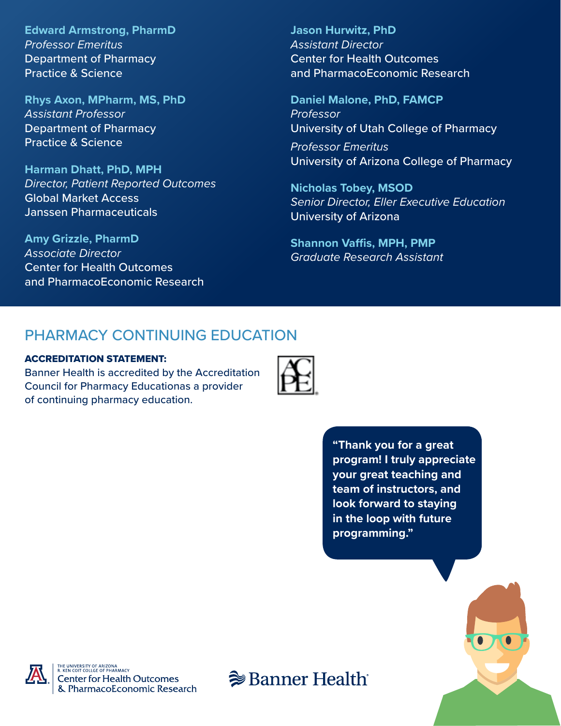**Edward Armstrong, PharmD** *Professor Emeritus*  Department of Pharmacy Practice & Science

**Rhys Axon, MPharm, MS, PhD** *Assistant Professor* Department of Pharmacy Practice & Science

**Harman Dhatt, PhD, MPH** *Director, Patient Reported Outcomes* Global Market Access Janssen Pharmaceuticals

**Amy Grizzle, PharmD** *Associate Director* Center for Health Outcomes and PharmacoEconomic Research **Jason Hurwitz, PhD** *Assistant Director* Center for Health Outcomes and PharmacoEconomic Research

**Daniel Malone, PhD, FAMCP** *Professor* University of Utah College of Pharmacy

*Professor Emeritus* University of Arizona College of Pharmacy

**Nicholas Tobey, MSOD** *Senior Director, Eller Executive Education* University of Arizona

**Shannon Vaffis, MPH, PMP** *Graduate Research Assistant*

### PHARMACY CONTINUING EDUCATION

#### ACCREDITATION STATEMENT:

Banner Health is accredited by the Accreditation Council for Pharmacy Educationas a provider of continuing pharmacy education.



**"Thank you for a great program! I truly appreciate your great teaching and team of instructors, and look forward to staying in the loop with future programming."**





HE UNIVERSITY OF ARIZONA<br>.. KEN COIT COLLGE OF PHARMAC' **Center for Health Outcomes** & PharmacoEconomic Research

**<sup>●</sup>Banner Health**®